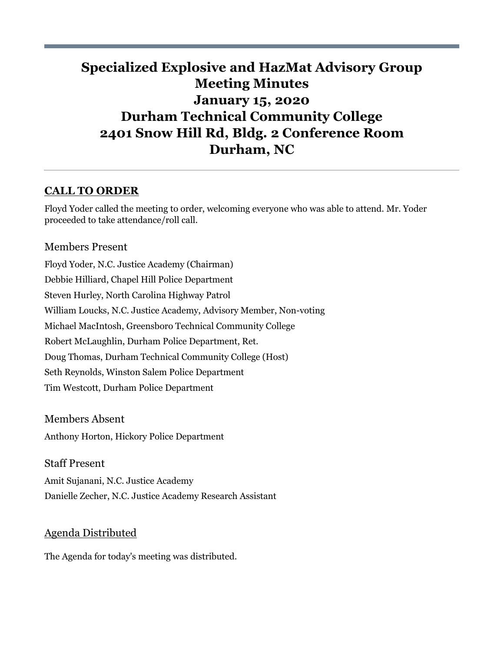# **Specialized Explosive and HazMat Advisory Group Meeting Minutes January 15, 2020 Durham Technical Community College 2401 Snow Hill Rd, Bldg. 2 Conference Room Durham, NC**

# **CALL TO ORDER**

Floyd Yoder called the meeting to order, welcoming everyone who was able to attend. Mr. Yoder proceeded to take attendance/roll call.

### Members Present

Floyd Yoder, N.C. Justice Academy (Chairman) Debbie Hilliard, Chapel Hill Police Department Steven Hurley, North Carolina Highway Patrol William Loucks, N.C. Justice Academy, Advisory Member, Non-voting Michael MacIntosh, Greensboro Technical Community College Robert McLaughlin, Durham Police Department, Ret. Doug Thomas, Durham Technical Community College (Host) Seth Reynolds, Winston Salem Police Department Tim Westcott, Durham Police Department

Members Absent

Anthony Horton, Hickory Police Department

# Staff Present

Amit Sujanani, N.C. Justice Academy Danielle Zecher, N.C. Justice Academy Research Assistant

# Agenda Distributed

The Agenda for today's meeting was distributed.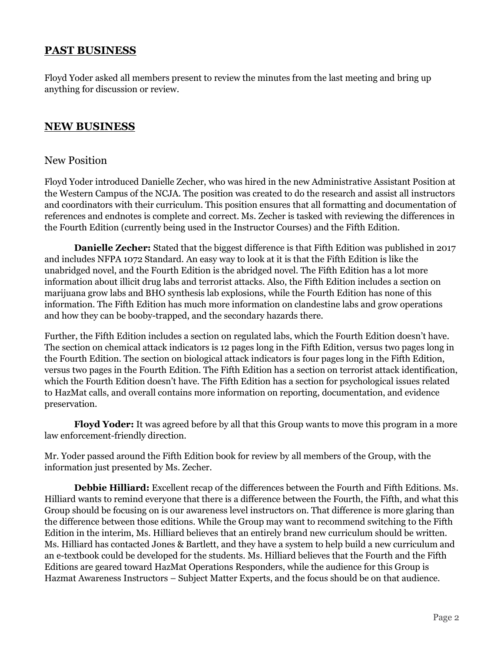### **PAST BUSINESS**

Floyd Yoder asked all members present to review the minutes from the last meeting and bring up anything for discussion or review.

### **NEW BUSINESS**

#### New Position

Floyd Yoder introduced Danielle Zecher, who was hired in the new Administrative Assistant Position at the Western Campus of the NCJA. The position was created to do the research and assist all instructors and coordinators with their curriculum. This position ensures that all formatting and documentation of references and endnotes is complete and correct. Ms. Zecher is tasked with reviewing the differences in the Fourth Edition (currently being used in the Instructor Courses) and the Fifth Edition.

**Danielle Zecher:** Stated that the biggest difference is that Fifth Edition was published in 2017 and includes NFPA 1072 Standard. An easy way to look at it is that the Fifth Edition is like the unabridged novel, and the Fourth Edition is the abridged novel. The Fifth Edition has a lot more information about illicit drug labs and terrorist attacks. Also, the Fifth Edition includes a section on marijuana grow labs and BHO synthesis lab explosions, while the Fourth Edition has none of this information. The Fifth Edition has much more information on clandestine labs and grow operations and how they can be booby-trapped, and the secondary hazards there.

Further, the Fifth Edition includes a section on regulated labs, which the Fourth Edition doesn't have. The section on chemical attack indicators is 12 pages long in the Fifth Edition, versus two pages long in the Fourth Edition. The section on biological attack indicators is four pages long in the Fifth Edition, versus two pages in the Fourth Edition. The Fifth Edition has a section on terrorist attack identification, which the Fourth Edition doesn't have. The Fifth Edition has a section for psychological issues related to HazMat calls, and overall contains more information on reporting, documentation, and evidence preservation.

**Floyd Yoder:** It was agreed before by all that this Group wants to move this program in a more law enforcement-friendly direction.

Mr. Yoder passed around the Fifth Edition book for review by all members of the Group, with the information just presented by Ms. Zecher.

**Debbie Hilliard:** Excellent recap of the differences between the Fourth and Fifth Editions. Ms. Hilliard wants to remind everyone that there is a difference between the Fourth, the Fifth, and what this Group should be focusing on is our awareness level instructors on. That difference is more glaring than the difference between those editions. While the Group may want to recommend switching to the Fifth Edition in the interim, Ms. Hilliard believes that an entirely brand new curriculum should be written. Ms. Hilliard has contacted Jones & Bartlett, and they have a system to help build a new curriculum and an e-textbook could be developed for the students. Ms. Hilliard believes that the Fourth and the Fifth Editions are geared toward HazMat Operations Responders, while the audience for this Group is Hazmat Awareness Instructors – Subject Matter Experts, and the focus should be on that audience.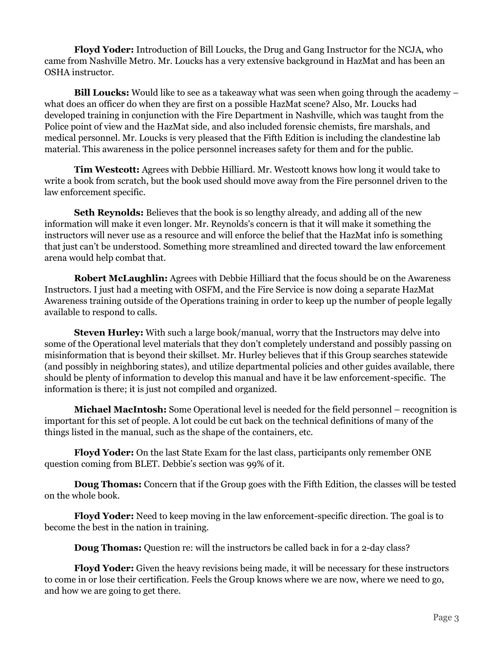**Floyd Yoder:** Introduction of Bill Loucks, the Drug and Gang Instructor for the NCJA, who came from Nashville Metro. Mr. Loucks has a very extensive background in HazMat and has been an OSHA instructor.

**Bill Loucks:** Would like to see as a takeaway what was seen when going through the academy – what does an officer do when they are first on a possible HazMat scene? Also, Mr. Loucks had developed training in conjunction with the Fire Department in Nashville, which was taught from the Police point of view and the HazMat side, and also included forensic chemists, fire marshals, and medical personnel. Mr. Loucks is very pleased that the Fifth Edition is including the clandestine lab material. This awareness in the police personnel increases safety for them and for the public.

**Tim Westcott:** Agrees with Debbie Hilliard. Mr. Westcott knows how long it would take to write a book from scratch, but the book used should move away from the Fire personnel driven to the law enforcement specific.

**Seth Reynolds:** Believes that the book is so lengthy already, and adding all of the new information will make it even longer. Mr. Reynolds's concern is that it will make it something the instructors will never use as a resource and will enforce the belief that the HazMat info is something that just can't be understood. Something more streamlined and directed toward the law enforcement arena would help combat that.

**Robert McLaughlin:** Agrees with Debbie Hilliard that the focus should be on the Awareness Instructors. I just had a meeting with OSFM, and the Fire Service is now doing a separate HazMat Awareness training outside of the Operations training in order to keep up the number of people legally available to respond to calls.

**Steven Hurley:** With such a large book/manual, worry that the Instructors may delve into some of the Operational level materials that they don't completely understand and possibly passing on misinformation that is beyond their skillset. Mr. Hurley believes that if this Group searches statewide (and possibly in neighboring states), and utilize departmental policies and other guides available, there should be plenty of information to develop this manual and have it be law enforcement-specific. The information is there; it is just not compiled and organized.

**Michael MacIntosh:** Some Operational level is needed for the field personnel – recognition is important for this set of people. A lot could be cut back on the technical definitions of many of the things listed in the manual, such as the shape of the containers, etc.

**Floyd Yoder:** On the last State Exam for the last class, participants only remember ONE question coming from BLET. Debbie's section was 99% of it.

**Doug Thomas:** Concern that if the Group goes with the Fifth Edition, the classes will be tested on the whole book.

**Floyd Yoder:** Need to keep moving in the law enforcement-specific direction. The goal is to become the best in the nation in training.

**Doug Thomas:** Question re: will the instructors be called back in for a 2-day class?

**Floyd Yoder:** Given the heavy revisions being made, it will be necessary for these instructors to come in or lose their certification. Feels the Group knows where we are now, where we need to go, and how we are going to get there.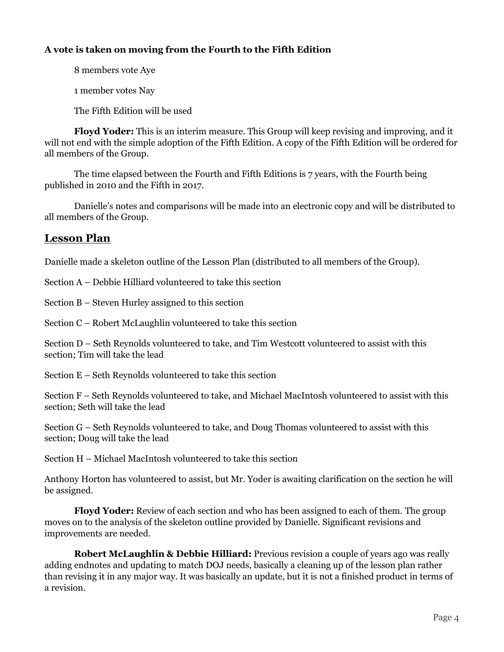### **A vote is taken on moving from the Fourth to the Fifth Edition**

8 members vote Aye

1 member votes Nay

The Fifth Edition will be used

**Floyd Yoder:** This is an interim measure. This Group will keep revising and improving, and it will not end with the simple adoption of the Fifth Edition. A copy of the Fifth Edition will be ordered for all members of the Group.

The time elapsed between the Fourth and Fifth Editions is 7 years, with the Fourth being published in 2010 and the Fifth in 2017.

Danielle's notes and comparisons will be made into an electronic copy and will be distributed to all members of the Group.

# **Lesson Plan**

Danielle made a skeleton outline of the Lesson Plan (distributed to all members of the Group).

Section A – Debbie Hilliard volunteered to take this section

Section B – Steven Hurley assigned to this section

Section C – Robert McLaughlin volunteered to take this section

Section D – Seth Reynolds volunteered to take, and Tim Westcott volunteered to assist with this section; Tim will take the lead

Section E – Seth Reynolds volunteered to take this section

Section F – Seth Reynolds volunteered to take, and Michael MacIntosh volunteered to assist with this section; Seth will take the lead

Section G – Seth Reynolds volunteered to take, and Doug Thomas volunteered to assist with this section; Doug will take the lead

Section H – Michael MacIntosh volunteered to take this section

Anthony Horton has volunteered to assist, but Mr. Yoder is awaiting clarification on the section he will be assigned.

**Floyd Yoder:** Review of each section and who has been assigned to each of them. The group moves on to the analysis of the skeleton outline provided by Danielle. Significant revisions and improvements are needed.

**Robert McLaughlin & Debbie Hilliard:** Previous revision a couple of years ago was really adding endnotes and updating to match DOJ needs, basically a cleaning up of the lesson plan rather than revising it in any major way. It was basically an update, but it is not a finished product in terms of a revision.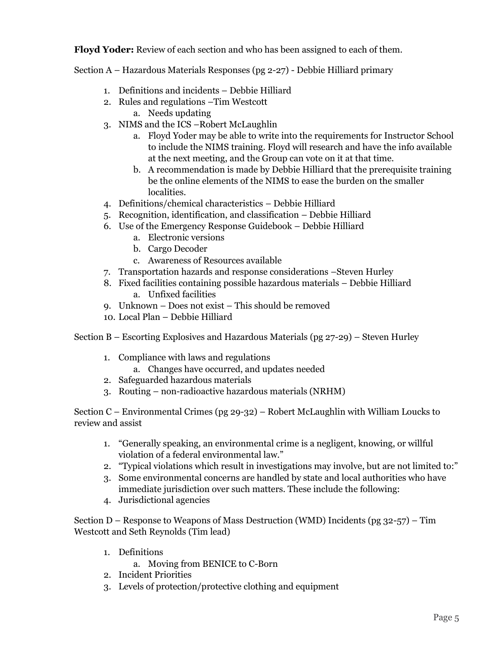**Floyd Yoder:** Review of each section and who has been assigned to each of them.

Section A – Hazardous Materials Responses (pg 2-27) - Debbie Hilliard primary

- 1. Definitions and incidents Debbie Hilliard
- 2. Rules and regulations –Tim Westcott
	- a. Needs updating
- 3. NIMS and the ICS –Robert McLaughlin
	- a. Floyd Yoder may be able to write into the requirements for Instructor School to include the NIMS training. Floyd will research and have the info available at the next meeting, and the Group can vote on it at that time.
	- b. A recommendation is made by Debbie Hilliard that the prerequisite training be the online elements of the NIMS to ease the burden on the smaller localities.
- 4. Definitions/chemical characteristics Debbie Hilliard
- 5. Recognition, identification, and classification Debbie Hilliard
- 6. Use of the Emergency Response Guidebook Debbie Hilliard
	- a. Electronic versions
	- b. Cargo Decoder
	- c. Awareness of Resources available
- 7. Transportation hazards and response considerations –Steven Hurley
- 8. Fixed facilities containing possible hazardous materials Debbie Hilliard a. Unfixed facilities
- 9. Unknown Does not exist This should be removed
- 10. Local Plan Debbie Hilliard

Section B – Escorting Explosives and Hazardous Materials (pg 27-29) – Steven Hurley

- 1. Compliance with laws and regulations
	- a. Changes have occurred, and updates needed
- 2. Safeguarded hazardous materials
- 3. Routing non-radioactive hazardous materials (NRHM)

Section C – Environmental Crimes (pg 29-32) – Robert McLaughlin with William Loucks to review and assist

- 1. "Generally speaking, an environmental crime is a negligent, knowing, or willful violation of a federal environmental law."
- 2. "Typical violations which result in investigations may involve, but are not limited to:"
- 3. Some environmental concerns are handled by state and local authorities who have immediate jurisdiction over such matters. These include the following:
- 4. Jurisdictional agencies

Section D – Response to Weapons of Mass Destruction (WMD) Incidents (pg 32-57) – Tim Westcott and Seth Reynolds (Tim lead)

- 1. Definitions
	- a. Moving from BENICE to C-Born
- 2. Incident Priorities
- 3. Levels of protection/protective clothing and equipment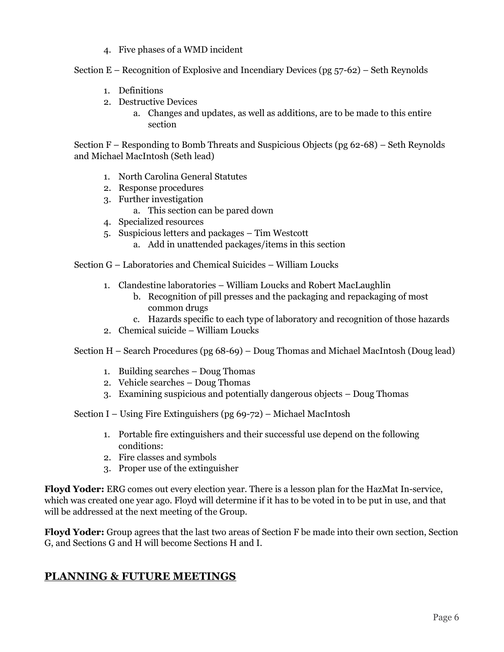4. Five phases of a WMD incident

Section E – Recognition of Explosive and Incendiary Devices (pg 57-62) – Seth Reynolds

- 1. Definitions
- 2. Destructive Devices
	- a. Changes and updates, as well as additions, are to be made to this entire section

Section F – Responding to Bomb Threats and Suspicious Objects (pg 62-68) – Seth Reynolds and Michael MacIntosh (Seth lead)

- 1. North Carolina General Statutes
- 2. Response procedures
- 3. Further investigation
	- a. This section can be pared down
- 4. Specialized resources
- 5. Suspicious letters and packages Tim Westcott
	- a. Add in unattended packages/items in this section

Section G – Laboratories and Chemical Suicides – William Loucks

- 1. Clandestine laboratories William Loucks and Robert MacLaughlin
	- b. Recognition of pill presses and the packaging and repackaging of most common drugs
	- c. Hazards specific to each type of laboratory and recognition of those hazards
- 2. Chemical suicide William Loucks

Section H – Search Procedures (pg 68-69) – Doug Thomas and Michael MacIntosh (Doug lead)

- 1. Building searches Doug Thomas
- 2. Vehicle searches Doug Thomas
- 3. Examining suspicious and potentially dangerous objects Doug Thomas
- Section I Using Fire Extinguishers (pg 69-72) Michael MacIntosh
	- 1. Portable fire extinguishers and their successful use depend on the following conditions:
	- 2. Fire classes and symbols
	- 3. Proper use of the extinguisher

**Floyd Yoder:** ERG comes out every election year. There is a lesson plan for the HazMat In-service, which was created one year ago. Floyd will determine if it has to be voted in to be put in use, and that will be addressed at the next meeting of the Group.

**Floyd Yoder:** Group agrees that the last two areas of Section F be made into their own section, Section G, and Sections G and H will become Sections H and I.

# **PLANNING & FUTURE MEETINGS**